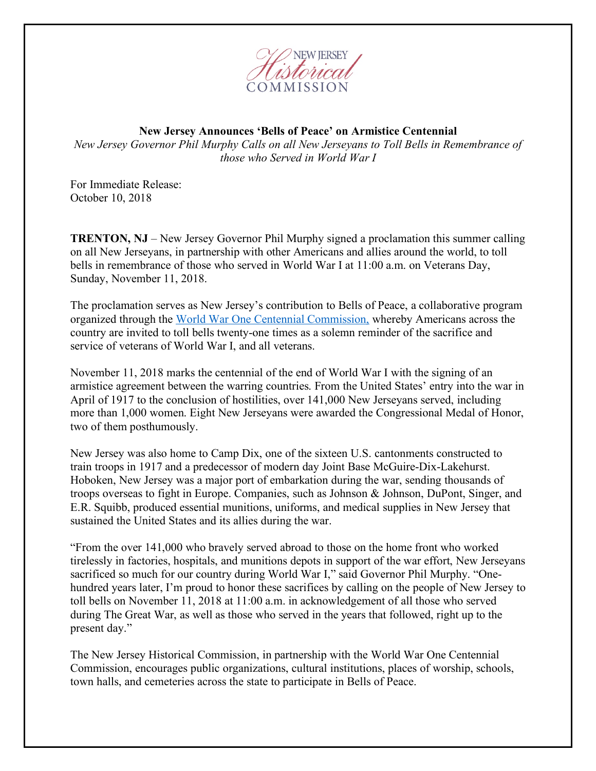

## **New Jersey Announces 'Bells of Peace' on Armistice Centennial**

*New Jersey Governor Phil Murphy Calls on all New Jerseyans to Toll Bells in Remembrance of those who Served in World War I*

For Immediate Release: October 10, 2018

**TRENTON, NJ** – New Jersey Governor Phil Murphy signed a proclamation this summer calling on all New Jerseyans, in partnership with other Americans and allies around the world, to toll bells in remembrance of those who served in World War I at 11:00 a.m. on Veterans Day, Sunday, November 11, 2018.

The proclamation serves as New Jersey's contribution to Bells of Peace, a collaborative program organized through the World War One Centennial Commission, whereby Americans across the country are invited to toll bells twenty-one times as a solemn reminder of the sacrifice and service of veterans of World War I, and all veterans.

November 11, 2018 marks the centennial of the end of World War I with the signing of an armistice agreement between the warring countries. From the United States' entry into the war in April of 1917 to the conclusion of hostilities, over 141,000 New Jerseyans served, including more than 1,000 women. Eight New Jerseyans were awarded the Congressional Medal of Honor, two of them posthumously.

New Jersey was also home to Camp Dix, one of the sixteen U.S. cantonments constructed to train troops in 1917 and a predecessor of modern day Joint Base McGuire-Dix-Lakehurst. Hoboken, New Jersey was a major port of embarkation during the war, sending thousands of troops overseas to fight in Europe. Companies, such as Johnson & Johnson, DuPont, Singer, and E.R. Squibb, produced essential munitions, uniforms, and medical supplies in New Jersey that sustained the United States and its allies during the war.

"From the over 141,000 who bravely served abroad to those on the home front who worked tirelessly in factories, hospitals, and munitions depots in support of the war effort, New Jerseyans sacrificed so much for our country during World War I," said Governor Phil Murphy. "Onehundred years later, I'm proud to honor these sacrifices by calling on the people of New Jersey to toll bells on November 11, 2018 at 11:00 a.m. in acknowledgement of all those who served during The Great War, as well as those who served in the years that followed, right up to the present day."

The New Jersey Historical Commission, in partnership with the World War One Centennial Commission, encourages public organizations, cultural institutions, places of worship, schools, town halls, and cemeteries across the state to participate in Bells of Peace.